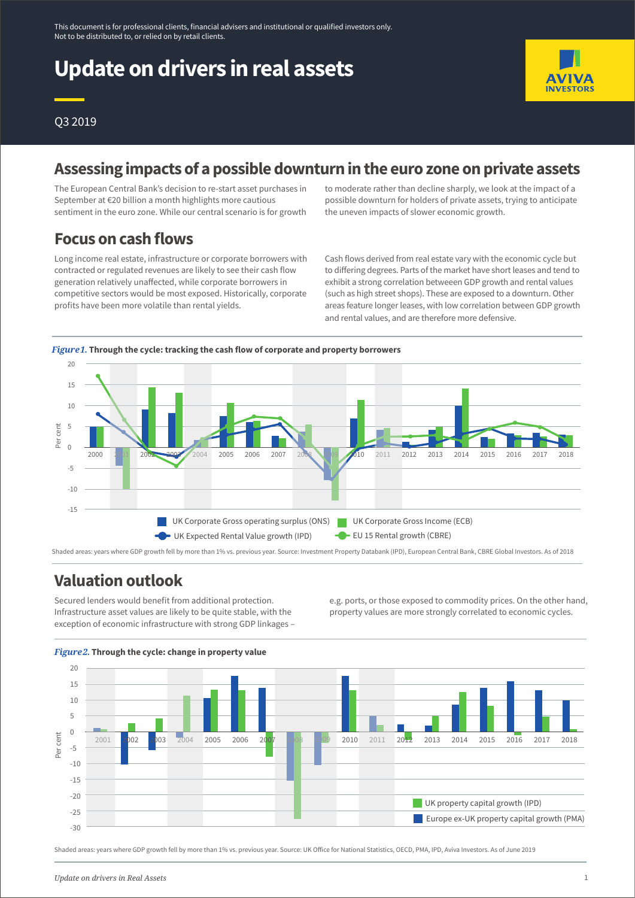# **Update on drivers in real assets**



### Q3 2019

### **Assessing impacts of a possible downturn in the euro zone on private assets**

The European Central Bank's decision to re-start asset purchases in September at €20 billion a month highlights more cautious sentiment in the euro zone. While our central scenario is for growth to moderate rather than decline sharply, we look at the impact of a possible downturn for holders of private assets, trying to anticipate the uneven impacts of slower economic growth.

### **Focus on cash flows**

Long income real estate, infrastructure or corporate borrowers with contracted or regulated revenues are likely to see their cash flow generation relatively unaffected, while corporate borrowers in competitive sectors would be most exposed. Historically, corporate profits have been more volatile than rental yields.

Cash flows derived from real estate vary with the economic cycle but to differing degrees. Parts of the market have short leases and tend to exhibit a strong correlation betweeen GDP growth and rental values (such as high street shops). These are exposed to a downturn. Other areas feature longer leases, with low correlation between GDP growth and rental values, and are therefore more defensive.



#### Shaded areas: years where GDP growth fell by more than 1% vs. previous year. Source: Investment Property Databank (IPD), European Central Bank, CBRE Global Investors. As of 2018

### **Valuation outlook**

Secured lenders would benefit from additional protection. Infrastructure asset values are likely to be quite stable, with the exception of economic infrastructure with strong GDP linkages – e.g. ports, or those exposed to commodity prices. On the other hand, property values are more strongly correlated to economic cycles.



#### *Figure 2.***Through the cycle: change in property value**

Shaded areas: years where GDP growth fell by more than 1% vs. previous year. Source: UK Office for National Statistics, OECD, PMA, IPD, Aviva Investors. As of June 2019